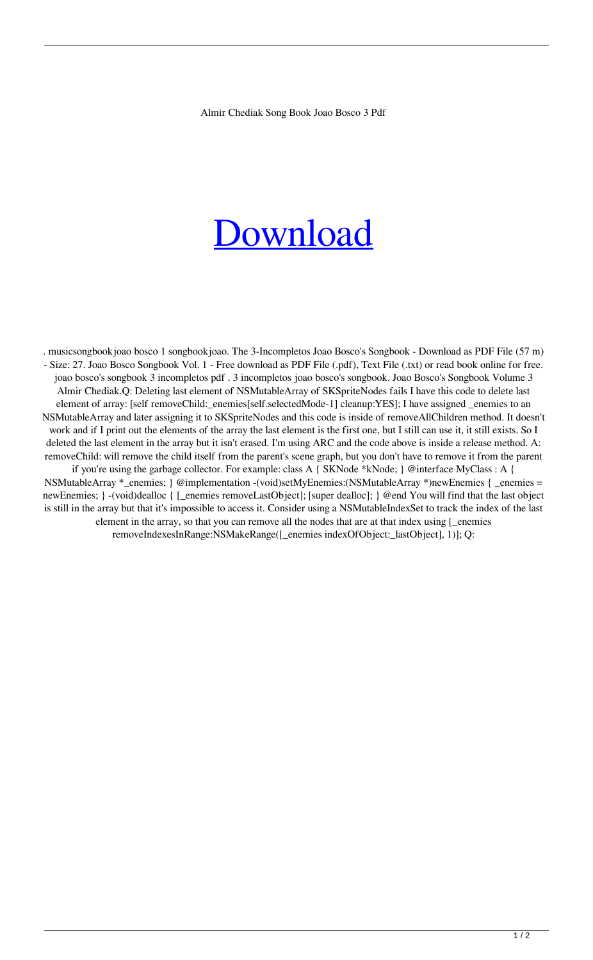## [Download](http://evacdir.com/YWxtaXIgY2hlZGlhayBzb25nIGJvb2sgam9hbyBib3NjbyAzIHBkZgYWx.cebu?companionate=bluebells&ZG93bmxvYWR8ZmIwWlcxaE1ueDhNVFkxTlRnME1qazRNWHg4TWpVM05IeDhLRTBwSUhKbFlXUXRZbXh2WnlCYlJtRnpkQ0JIUlU1ZA=hunk/iridescent/rite/)

. musicsongbookjoao bosco 1 songbookjoao. The 3-Incompletos Joao Bosco's Songbook - Download as PDF File (57 m) - Size: 27. Joao Bosco Songbook Vol. 1 - Free download as PDF File (.pdf), Text File (.txt) or read book online for free. joao bosco's songbook 3 incompletos pdf . 3 incompletos joao bosco's songbook. Joao Bosco's Songbook Volume 3 Almir Chediak.Q: Deleting last element of NSMutableArray of SKSpriteNodes fails I have this code to delete last element of array: [self removeChild:\_enemies[self.selectedMode-1] cleanup:YES]; I have assigned \_enemies to an NSMutableArray and later assigning it to SKSpriteNodes and this code is inside of removeAllChildren method. It doesn't work and if I print out the elements of the array the last element is the first one, but I still can use it, it still exists. So I deleted the last element in the array but it isn't erased. I'm using ARC and the code above is inside a release method. A: removeChild: will remove the child itself from the parent's scene graph, but you don't have to remove it from the parent if you're using the garbage collector. For example: class A { SKNode \*kNode; } @interface MyClass : A { NSMutableArray \*\_enemies; } @implementation -(void)setMyEnemies:(NSMutableArray \*)newEnemies { \_enemies = newEnemies; } -(void)dealloc { [\_enemies removeLastObject]; [super dealloc]; } @end You will find that the last object is still in the array but that it's impossible to access it. Consider using a NSMutableIndexSet to track the index of the last element in the array, so that you can remove all the nodes that are at that index using  $\lceil$  enemies removeIndexesInRange:NSMakeRange([\_enemies indexOfObject:\_lastObject], 1)]; Q: